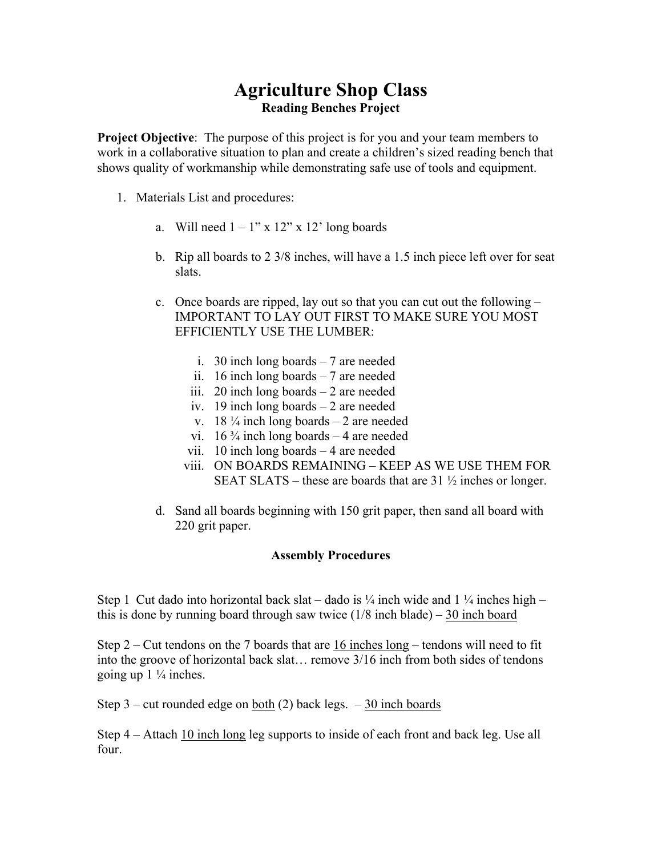## **Agriculture Shop Class Reading Benches Project**

**Project Objective**: The purpose of this project is for you and your team members to work in a collaborative situation to plan and create a children's sized reading bench that shows quality of workmanship while demonstrating safe use of tools and equipment.

- 1. Materials List and procedures:
	- a. Will need  $1 1$ " x  $12$ " x  $12$ " long boards
	- b. Rip all boards to 2 3/8 inches, will have a 1.5 inch piece left over for seat slats.
	- c. Once boards are ripped, lay out so that you can cut out the following IMPORTANT TO LAY OUT FIRST TO MAKE SURE YOU MOST EFFICIENTLY USE THE LUMBER:
		- i. 30 inch long boards 7 are needed
		- ii. 16 inch long boards 7 are needed
		- iii. 20 inch long boards  $-2$  are needed
		- iv. 19 inch long boards 2 are needed
		- v. 18  $\frac{1}{4}$  inch long boards 2 are needed
		- vi. 16  $\frac{3}{4}$  inch long boards 4 are needed
		- vii. 10 inch long boards 4 are needed
		- viii. ON BOARDS REMAINING KEEP AS WE USE THEM FOR SEAT SLATS – these are boards that are  $31\frac{1}{2}$  inches or longer.
	- d. Sand all boards beginning with 150 grit paper, then sand all board with 220 grit paper.

## **Assembly Procedures**

Step 1 Cut dado into horizontal back slat – dado is  $\frac{1}{4}$  inch wide and  $1\frac{1}{4}$  inches high – this is done by running board through saw twice  $(1/8 \text{ inch blade}) - 30 \text{ inch board}$ 

Step  $2 -$  Cut tendons on the 7 boards that are 16 inches long – tendons will need to fit into the groove of horizontal back slat… remove 3/16 inch from both sides of tendons going up  $1\frac{1}{4}$  inches.

Step  $3$  – cut rounded edge on both (2) back legs.  $-30$  inch boards

Step 4 – Attach 10 inch long leg supports to inside of each front and back leg. Use all four.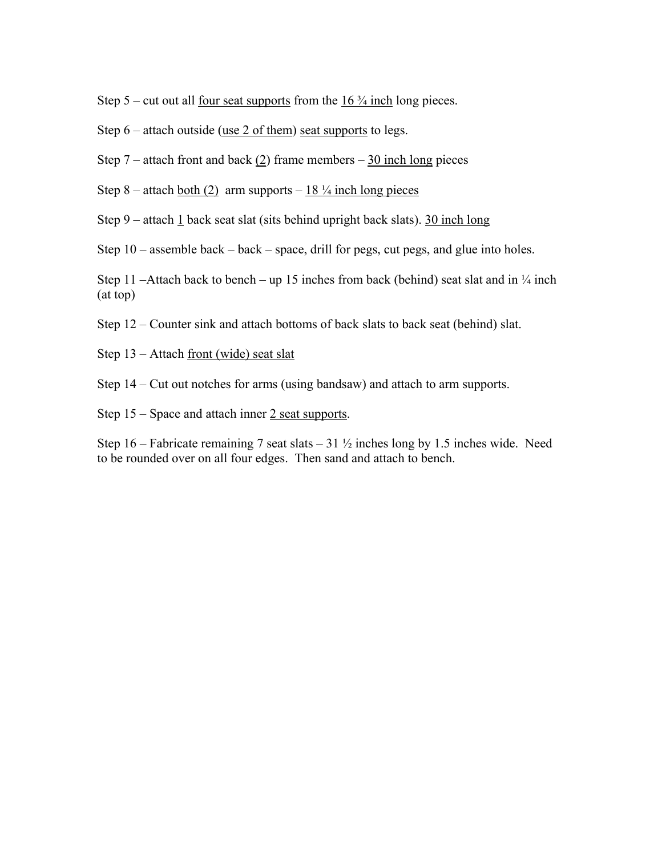Step 5 – cut out all four seat supports from the  $16\frac{3}{4}$  inch long pieces.

Step  $6$  – attach outside (use 2 of them) seat supports to legs.

Step 7 – attach front and back  $(2)$  frame members – 30 inch long pieces

Step 8 – attach <u>both (2)</u> arm supports –  $18\frac{1}{4}$  inch long pieces

Step 9 – attach 1 back seat slat (sits behind upright back slats). 30 inch long

Step 10 – assemble back – back – space, drill for pegs, cut pegs, and glue into holes.

Step 11 –Attach back to bench – up 15 inches from back (behind) seat slat and in  $\frac{1}{4}$  inch (at top)

Step 12 – Counter sink and attach bottoms of back slats to back seat (behind) slat.

Step 13 – Attach front (wide) seat slat

Step 14 – Cut out notches for arms (using bandsaw) and attach to arm supports.

Step  $15$  – Space and attach inner  $2$  seat supports.

Step 16 – Fabricate remaining 7 seat slats – 31  $\frac{1}{2}$  inches long by 1.5 inches wide. Need to be rounded over on all four edges. Then sand and attach to bench.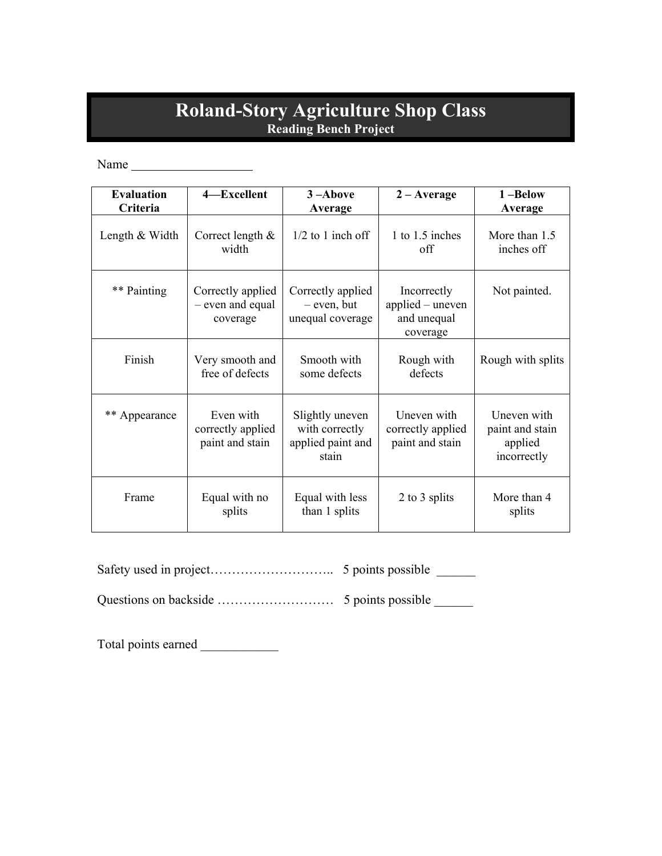## **Roland-Story Agriculture Shop Class Reading Bench Project**

Name

| <b>Evaluation</b><br>Criteria | 4-Excellent                                       | $3 -$ Above<br>Average                                          | $2 - Average$                                              | 1-Below<br>Average                                       |
|-------------------------------|---------------------------------------------------|-----------------------------------------------------------------|------------------------------------------------------------|----------------------------------------------------------|
| Length & Width                | Correct length $&$<br>width                       | $1/2$ to 1 inch off                                             | 1 to 1.5 inches<br>off                                     | More than 1.5<br>inches off                              |
| ** Painting                   | Correctly applied<br>- even and equal<br>coverage | Correctly applied<br>$-$ even, but<br>unequal coverage          | Incorrectly<br>applied – uneven<br>and unequal<br>coverage | Not painted.                                             |
| Finish                        | Very smooth and<br>free of defects                | Smooth with<br>some defects                                     | Rough with<br>defects                                      | Rough with splits                                        |
| ** Appearance                 | Even with<br>correctly applied<br>paint and stain | Slightly uneven<br>with correctly<br>applied paint and<br>stain | Uneven with<br>correctly applied<br>paint and stain        | Uneven with<br>paint and stain<br>applied<br>incorrectly |
| Frame                         | Equal with no<br>splits                           | Equal with less<br>than 1 splits                                | 2 to 3 splits                                              | More than 4<br>splits                                    |

|--|--|

Questions on backside ……………………… 5 points possible \_\_\_\_\_\_

Total points earned \_\_\_\_\_\_\_\_\_\_\_\_